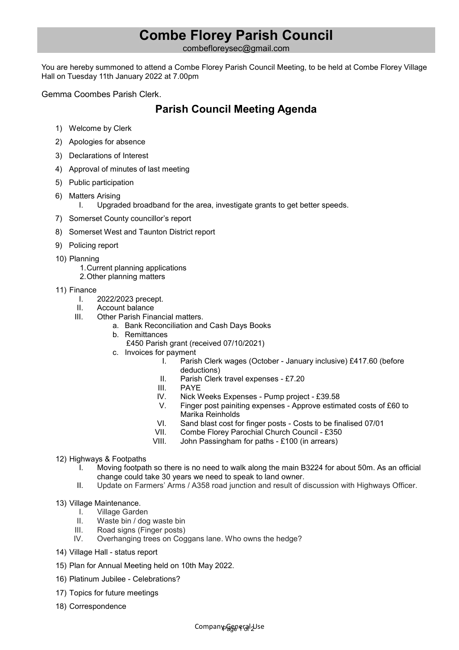## **Combe Florey Parish Council**

combefloreysec@gmail.com

You are hereby summoned to attend a Combe Florey Parish Council Meeting, to be held at Combe Florey Village Hall on Tuesday 11th January 2022 at 7.00pm

Gemma Coombes Parish Clerk.

## **Parish Council Meeting Agenda**

- 1) Welcome by Clerk
- 2) Apologies for absence
- 3) Declarations of Interest
- 4) Approval of minutes of last meeting
- 5) Public participation
- 6) Matters Arising
	- I. Upgraded broadband for the area, investigate grants to get better speeds.
- 7) Somerset County councillor's report
- 8) Somerset West and Taunton District report
- 9) Policing report
- 10) Planning
	- 1. Current planning applications
		- 2. Other planning matters
- 11) Finance
	- I. 2022/2023 precept.
	- II. Account balance
	- III. Other Parish Financial matters.
		- a. Bank Reconciliation and Cash Days Books
		- b. Remittances
			- £450 Parish grant (received 07/10/2021)
		- c. Invoices for payment
			- I. Parish Clerk wages (October January inclusive) £417.60 (before deductions)
			- II. Parish Clerk travel expenses £7.20
			- III. PAYE
			- IV. Nick Weeks Expenses Pump project £39.58
			- V. Finger post painiting expenses Approve estimated costs of £60 to Marika Reinholds
			- VI. Sand blast cost for finger posts Costs to be finalised 07/01<br>VII. Combe Florev Parochial Church Council £350
			- Combe Florey Parochial Church Council £350
			- VIII. John Passingham for paths £100 (in arrears)
- 12) Highways & Footpaths
	- I. Moving footpath so there is no need to walk along the main B3224 for about 50m. As an official change could take 30 years we need to speak to land owner.
	- II. Update on Farmers' Arms / A358 road junction and result of discussion with Highways Officer.
- 13) Village Maintenance.<br>I. Village Garde
	- Village Garden
	- II. Waste bin / dog waste bin
	- III. Road signs (Finger posts)
	- IV. Overhanging trees on Coggans lane. Who owns the hedge?
- 14) Village Hall status report
- 15) Plan for Annual Meeting held on 10th May 2022.
- 16) Platinum Jubilee Celebrations?
- 17) Topics for future meetings
- 18) Correspondence